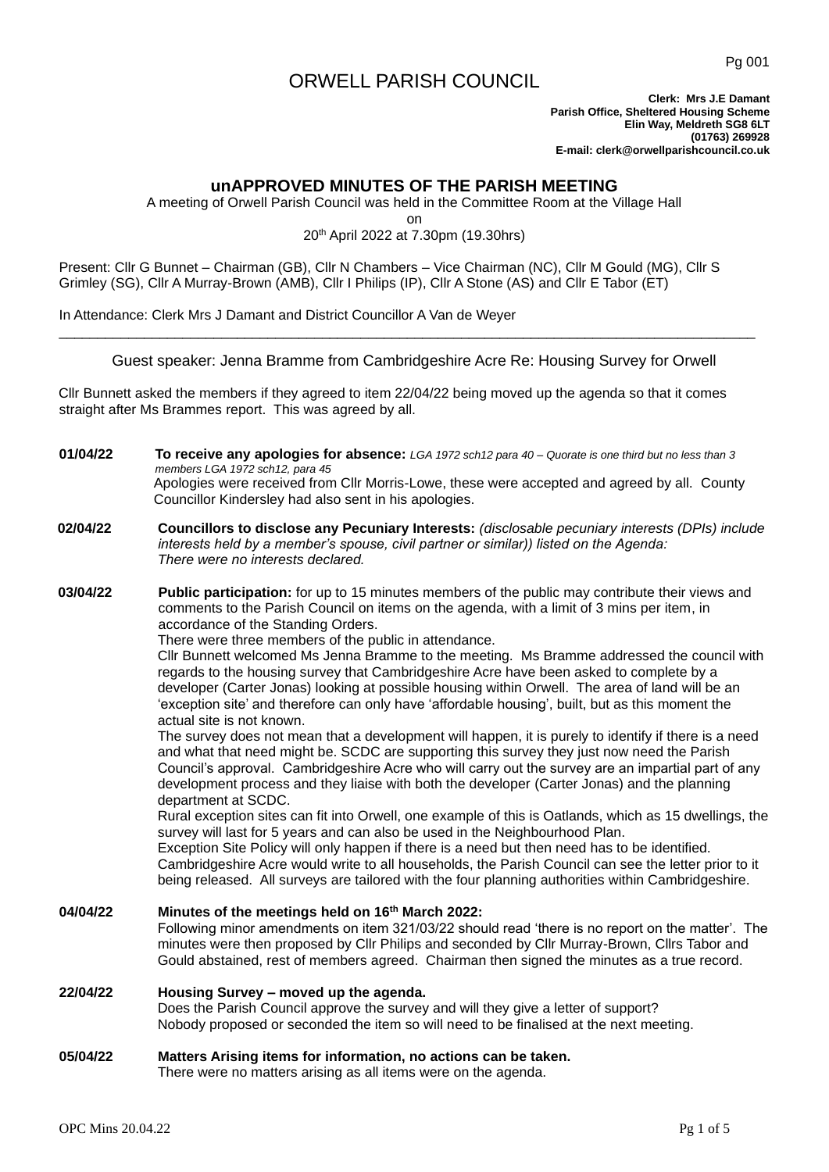## ORWELL PARISH COUNCIL

**Clerk: Mrs J.E Damant Parish Office, Sheltered Housing Scheme Elin Way, Meldreth SG8 6LT (01763) 269928 E-mail: clerk@orwellparishcouncil.co.uk**

## **unAPPROVED MINUTES OF THE PARISH MEETING**

A meeting of Orwell Parish Council was held in the Committee Room at the Village Hall

on

## 20th April 2022 at 7.30pm (19.30hrs)

Present: Cllr G Bunnet – Chairman (GB), Cllr N Chambers – Vice Chairman (NC), Cllr M Gould (MG), Cllr S Grimley (SG), Cllr A Murray-Brown (AMB), Cllr I Philips (IP), Cllr A Stone (AS) and Cllr E Tabor (ET)

In Attendance: Clerk Mrs J Damant and District Councillor A Van de Weyer

Guest speaker: Jenna Bramme from Cambridgeshire Acre Re: Housing Survey for Orwell

\_\_\_\_\_\_\_\_\_\_\_\_\_\_\_\_\_\_\_\_\_\_\_\_\_\_\_\_\_\_\_\_\_\_\_\_\_\_\_\_\_\_\_\_\_\_\_\_\_\_\_\_\_\_\_\_\_\_\_\_\_\_\_\_\_\_\_\_\_\_\_\_\_\_\_\_\_\_\_\_\_\_\_\_\_\_\_\_\_\_

Cllr Bunnett asked the members if they agreed to item 22/04/22 being moved up the agenda so that it comes straight after Ms Brammes report. This was agreed by all.

- **01/04/22 To receive any apologies for absence:** *LGA 1972 sch12 para 40 – Quorate is one third but no less than 3 members LGA 1972 sch12, para 45* Apologies were received from Cllr Morris-Lowe, these were accepted and agreed by all. County Councillor Kindersley had also sent in his apologies.
- **02/04/22 Councillors to disclose any Pecuniary Interests:** *(disclosable pecuniary interests (DPIs) include interests held by a member's spouse, civil partner or similar)) listed on the Agenda: There were no interests declared.*

**03/04/22 Public participation:** for up to 15 minutes members of the public may contribute their views and comments to the Parish Council on items on the agenda, with a limit of 3 mins per item, in accordance of the Standing Orders.

There were three members of the public in attendance.

Cllr Bunnett welcomed Ms Jenna Bramme to the meeting. Ms Bramme addressed the council with regards to the housing survey that Cambridgeshire Acre have been asked to complete by a developer (Carter Jonas) looking at possible housing within Orwell. The area of land will be an 'exception site' and therefore can only have 'affordable housing', built, but as this moment the actual site is not known.

The survey does not mean that a development will happen, it is purely to identify if there is a need and what that need might be. SCDC are supporting this survey they just now need the Parish Council's approval. Cambridgeshire Acre who will carry out the survey are an impartial part of any development process and they liaise with both the developer (Carter Jonas) and the planning department at SCDC.

Rural exception sites can fit into Orwell, one example of this is Oatlands, which as 15 dwellings, the survey will last for 5 years and can also be used in the Neighbourhood Plan.

Exception Site Policy will only happen if there is a need but then need has to be identified. Cambridgeshire Acre would write to all households, the Parish Council can see the letter prior to it being released. All surveys are tailored with the four planning authorities within Cambridgeshire.

**04/04/22 Minutes of the meetings held on 16th March 2022:** Following minor amendments on item 321/03/22 should read 'there is no report on the matter'. The minutes were then proposed by Cllr Philips and seconded by Cllr Murray-Brown, Cllrs Tabor and Gould abstained, rest of members agreed. Chairman then signed the minutes as a true record.

## **22/04/22 Housing Survey – moved up the agenda.** Does the Parish Council approve the survey and will they give a letter of support? Nobody proposed or seconded the item so will need to be finalised at the next meeting.

**05/04/22 Matters Arising items for information, no actions can be taken.** There were no matters arising as all items were on the agenda.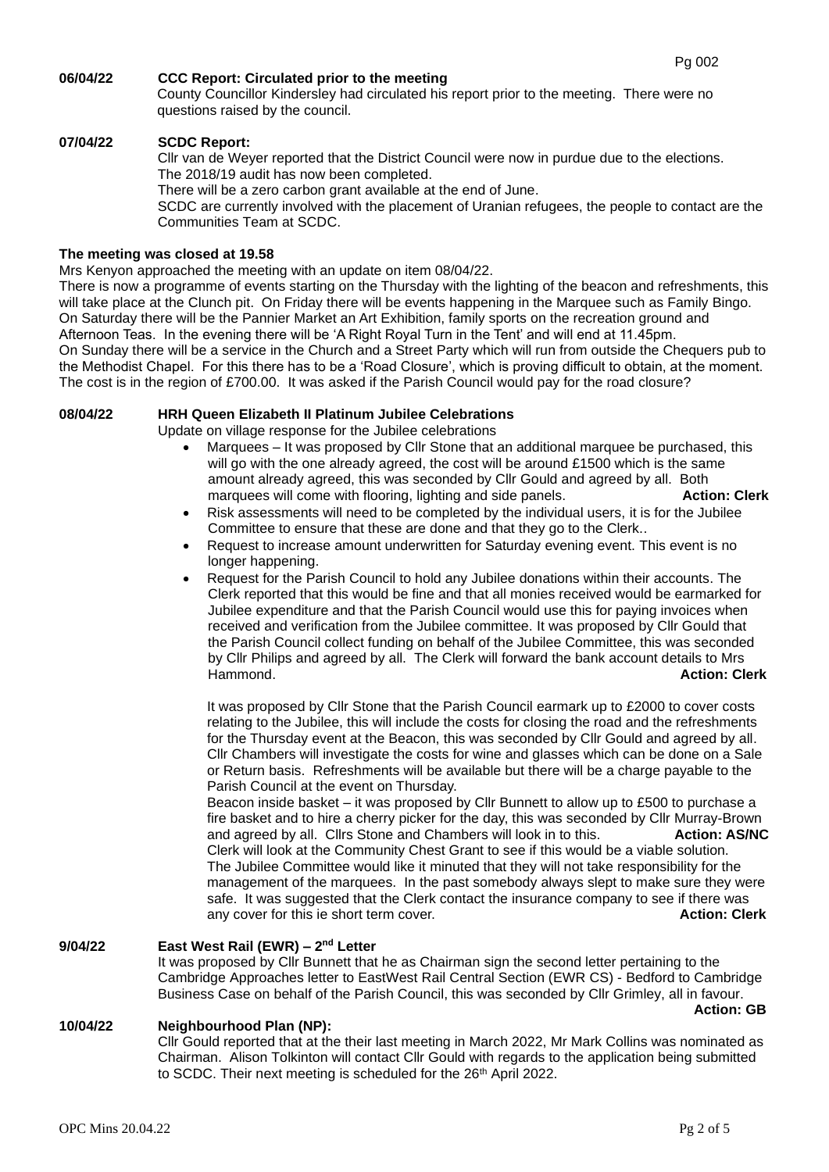## **06/04/22 CCC Report: Circulated prior to the meeting**

County Councillor Kindersley had circulated his report prior to the meeting. There were no questions raised by the council.

### **07/04/22 SCDC Report:**

Cllr van de Weyer reported that the District Council were now in purdue due to the elections. The 2018/19 audit has now been completed.

There will be a zero carbon grant available at the end of June.

SCDC are currently involved with the placement of Uranian refugees, the people to contact are the Communities Team at SCDC.

### **The meeting was closed at 19.58**

Mrs Kenyon approached the meeting with an update on item 08/04/22.

There is now a programme of events starting on the Thursday with the lighting of the beacon and refreshments, this will take place at the Clunch pit. On Friday there will be events happening in the Marquee such as Family Bingo. On Saturday there will be the Pannier Market an Art Exhibition, family sports on the recreation ground and Afternoon Teas. In the evening there will be 'A Right Royal Turn in the Tent' and will end at 11.45pm. On Sunday there will be a service in the Church and a Street Party which will run from outside the Chequers pub to the Methodist Chapel. For this there has to be a 'Road Closure', which is proving difficult to obtain, at the moment. The cost is in the region of £700.00. It was asked if the Parish Council would pay for the road closure?

#### **08/04/22 HRH Queen Elizabeth II Platinum Jubilee Celebrations**

Update on village response for the Jubilee celebrations

- Marquees It was proposed by Cllr Stone that an additional marquee be purchased, this will go with the one already agreed, the cost will be around £1500 which is the same amount already agreed, this was seconded by Cllr Gould and agreed by all. Both marquees will come with flooring, lighting and side panels. **Action: Clerk**
- Risk assessments will need to be completed by the individual users, it is for the Jubilee Committee to ensure that these are done and that they go to the Clerk..
- Request to increase amount underwritten for Saturday evening event. This event is no longer happening.
- Request for the Parish Council to hold any Jubilee donations within their accounts. The Clerk reported that this would be fine and that all monies received would be earmarked for Jubilee expenditure and that the Parish Council would use this for paying invoices when received and verification from the Jubilee committee. It was proposed by Cllr Gould that the Parish Council collect funding on behalf of the Jubilee Committee, this was seconded by Cllr Philips and agreed by all. The Clerk will forward the bank account details to Mrs Hammond. **Action: Clerk**

It was proposed by Cllr Stone that the Parish Council earmark up to £2000 to cover costs relating to the Jubilee, this will include the costs for closing the road and the refreshments for the Thursday event at the Beacon, this was seconded by Cllr Gould and agreed by all. Cllr Chambers will investigate the costs for wine and glasses which can be done on a Sale or Return basis. Refreshments will be available but there will be a charge payable to the Parish Council at the event on Thursday.

Beacon inside basket – it was proposed by Cllr Bunnett to allow up to £500 to purchase a fire basket and to hire a cherry picker for the day, this was seconded by Cllr Murray-Brown and agreed by all. Cllrs Stone and Chambers will look in to this. **Action: AS/NC** Clerk will look at the Community Chest Grant to see if this would be a viable solution. The Jubilee Committee would like it minuted that they will not take responsibility for the management of the marquees. In the past somebody always slept to make sure they were safe. It was suggested that the Clerk contact the insurance company to see if there was any cover for this ie short term cover. **Action: Clerk**

#### **9/04/22 East West Rail (EWR) – 2 nd Letter**

It was proposed by Cllr Bunnett that he as Chairman sign the second letter pertaining to the Cambridge Approaches letter to EastWest Rail Central Section (EWR CS) - Bedford to Cambridge Business Case on behalf of the Parish Council, this was seconded by Cllr Grimley, all in favour.

**Action: GB**

## **10/04/22 Neighbourhood Plan (NP):**

Cllr Gould reported that at the their last meeting in March 2022, Mr Mark Collins was nominated as Chairman. Alison Tolkinton will contact Cllr Gould with regards to the application being submitted to SCDC. Their next meeting is scheduled for the 26<sup>th</sup> April 2022.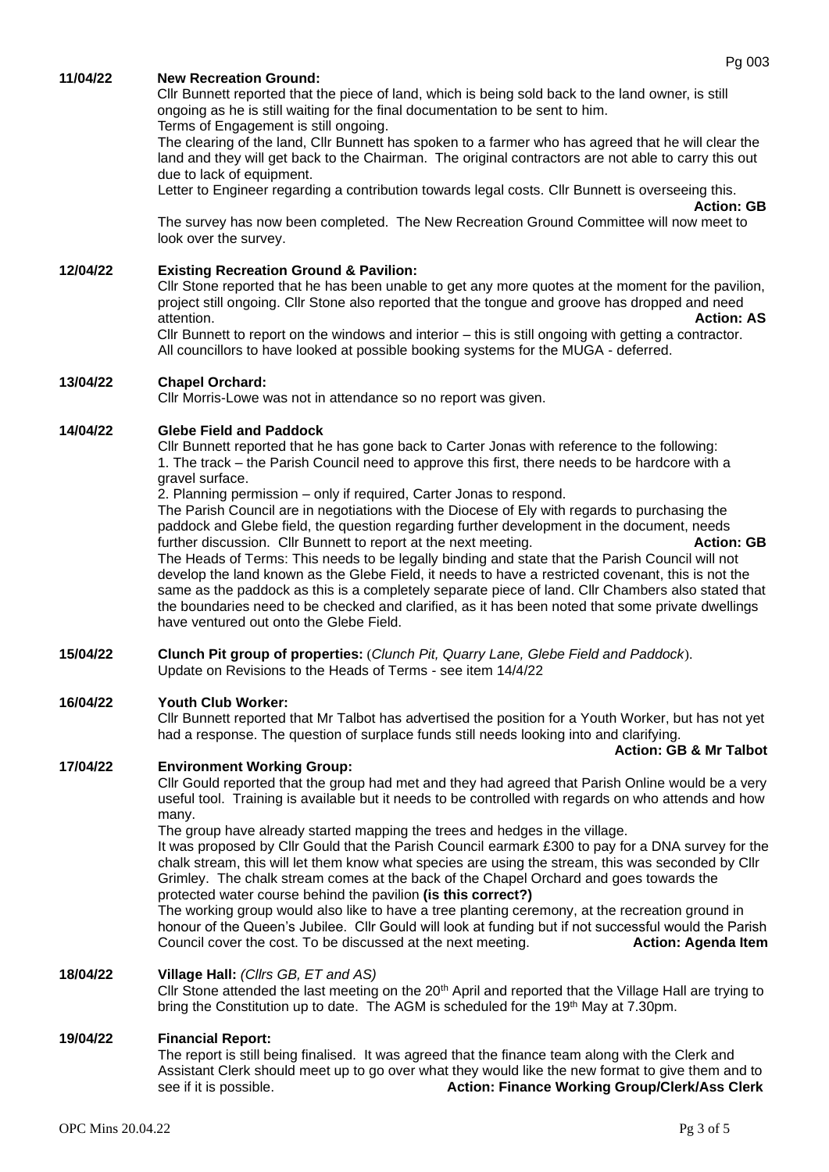#### **11/04/22 New Recreation Ground:**

Cllr Bunnett reported that the piece of land, which is being sold back to the land owner, is still ongoing as he is still waiting for the final documentation to be sent to him. Terms of Engagement is still ongoing.

The clearing of the land, Cllr Bunnett has spoken to a farmer who has agreed that he will clear the land and they will get back to the Chairman. The original contractors are not able to carry this out due to lack of equipment.

Letter to Engineer regarding a contribution towards legal costs. Cllr Bunnett is overseeing this.

## **Action: GB**

The survey has now been completed. The New Recreation Ground Committee will now meet to look over the survey.

## **12/04/22 Existing Recreation Ground & Pavilion:**

Cllr Stone reported that he has been unable to get any more quotes at the moment for the pavilion, project still ongoing. Cllr Stone also reported that the tongue and groove has dropped and need attention. **Action: AS**

Cllr Bunnett to report on the windows and interior – this is still ongoing with getting a contractor. All councillors to have looked at possible booking systems for the MUGA - deferred.

#### **13/04/22 Chapel Orchard:**

Cllr Morris-Lowe was not in attendance so no report was given.

#### **14/04/22 Glebe Field and Paddock**

Cllr Bunnett reported that he has gone back to Carter Jonas with reference to the following: 1. The track – the Parish Council need to approve this first, there needs to be hardcore with a gravel surface.

2. Planning permission – only if required, Carter Jonas to respond.

The Parish Council are in negotiations with the Diocese of Ely with regards to purchasing the paddock and Glebe field, the question regarding further development in the document, needs further discussion. Cllr Bunnett to report at the next meeting. **Action: GB** The Heads of Terms: This needs to be legally binding and state that the Parish Council will not

develop the land known as the Glebe Field, it needs to have a restricted covenant, this is not the same as the paddock as this is a completely separate piece of land. Cllr Chambers also stated that the boundaries need to be checked and clarified, as it has been noted that some private dwellings have ventured out onto the Glebe Field.

**15/04/22 Clunch Pit group of properties:** (*Clunch Pit, Quarry Lane, Glebe Field and Paddock*). Update on Revisions to the Heads of Terms - see item 14/4/22

#### **16/04/22 Youth Club Worker:**

Cllr Bunnett reported that Mr Talbot has advertised the position for a Youth Worker, but has not yet had a response. The question of surplace funds still needs looking into and clarifying.

#### **Action: GB & Mr Talbot**

#### **17/04/22 Environment Working Group:**

Cllr Gould reported that the group had met and they had agreed that Parish Online would be a very useful tool. Training is available but it needs to be controlled with regards on who attends and how many.

The group have already started mapping the trees and hedges in the village.

It was proposed by Cllr Gould that the Parish Council earmark £300 to pay for a DNA survey for the chalk stream, this will let them know what species are using the stream, this was seconded by Cllr Grimley. The chalk stream comes at the back of the Chapel Orchard and goes towards the protected water course behind the pavilion **(is this correct?)**

The working group would also like to have a tree planting ceremony, at the recreation ground in honour of the Queen's Jubilee. Cllr Gould will look at funding but if not successful would the Parish Council cover the cost. To be discussed at the next meeting. **Action: Agenda Item**

## **18/04/22 Village Hall:** *(Cllrs GB, ET and AS)*

Cllr Stone attended the last meeting on the 20<sup>th</sup> April and reported that the Village Hall are trying to bring the Constitution up to date. The AGM is scheduled for the 19<sup>th</sup> May at 7.30pm.

#### **19/04/22 Financial Report:**

The report is still being finalised. It was agreed that the finance team along with the Clerk and Assistant Clerk should meet up to go over what they would like the new format to give them and to see if it is possible. **Action: Finance Working Group/Clerk/Ass Clerk**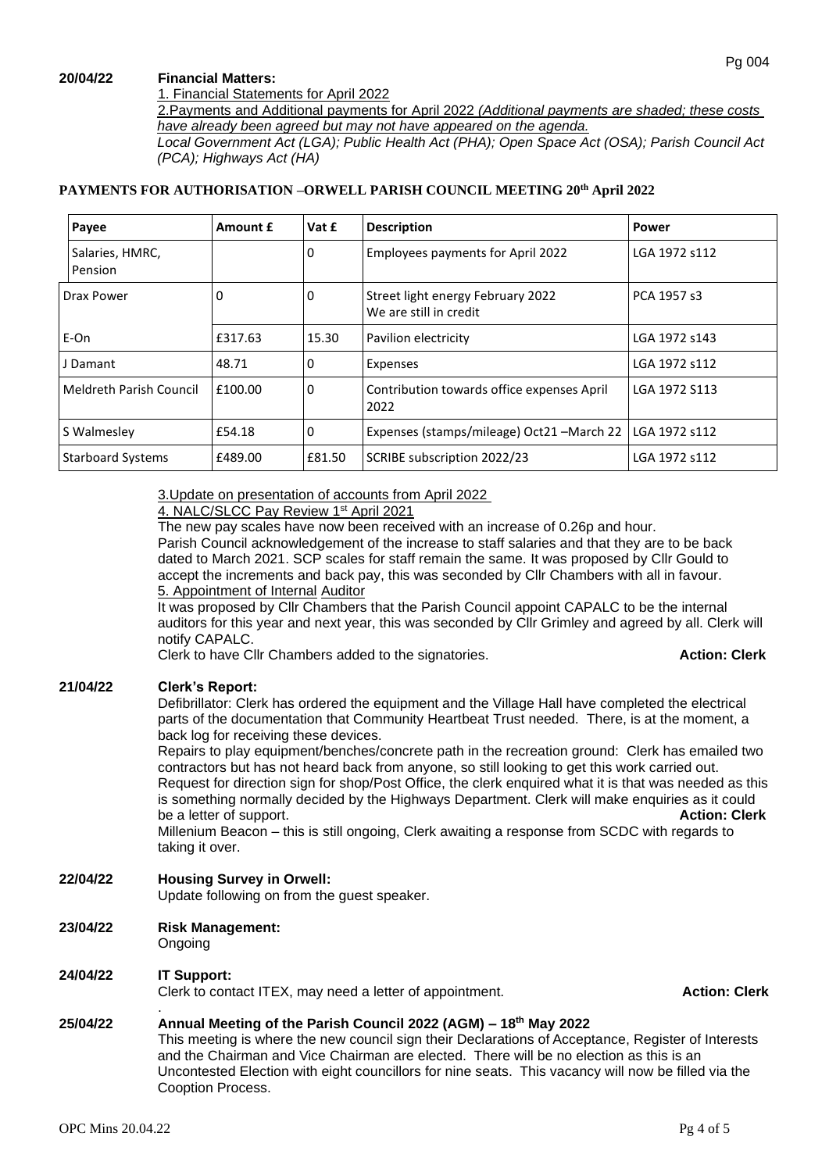#### **20/04/22 Financial Matters:**

1. Financial Statements for April 2022

2.Payments and Additional payments for April 2022 *(Additional payments are shaded; these costs have already been agreed but may not have appeared on the agenda.*

*Local Government Act (LGA); Public Health Act (PHA); Open Space Act (OSA); Parish Council Act (PCA); Highways Act (HA)*

## **PAYMENTS FOR AUTHORISATION –ORWELL PARISH COUNCIL MEETING 20th April 2022**

| Payee                          | Amount £ | Vat £       | <b>Description</b>                                          | Power         |
|--------------------------------|----------|-------------|-------------------------------------------------------------|---------------|
| Salaries, HMRC,<br>Pension     |          | $\mathbf 0$ | Employees payments for April 2022                           | LGA 1972 s112 |
| Drax Power                     | 0        | 0           | Street light energy February 2022<br>We are still in credit | PCA 1957 s3   |
| E-On                           | £317.63  | 15.30       | Pavilion electricity                                        | LGA 1972 s143 |
| J Damant                       | 48.71    | $\mathbf 0$ | Expenses                                                    | LGA 1972 s112 |
| <b>Meldreth Parish Council</b> | £100.00  | 0           | Contribution towards office expenses April<br>2022          | LGA 1972 S113 |
| S Walmesley                    | £54.18   | 0           | Expenses (stamps/mileage) Oct21-March 22                    | LGA 1972 s112 |
| <b>Starboard Systems</b>       | £489.00  | £81.50      | SCRIBE subscription 2022/23                                 | LGA 1972 s112 |

3.Update on presentation of accounts from April 2022

## 4. NALC/SLCC Pay Review 1st April 2021

The new pay scales have now been received with an increase of 0.26p and hour. Parish Council acknowledgement of the increase to staff salaries and that they are to be back dated to March 2021. SCP scales for staff remain the same. It was proposed by Cllr Gould to accept the increments and back pay, this was seconded by Cllr Chambers with all in favour. 5. Appointment of Internal Auditor

It was proposed by Cllr Chambers that the Parish Council appoint CAPALC to be the internal auditors for this year and next year, this was seconded by Cllr Grimley and agreed by all. Clerk will notify CAPALC.

Clerk to have Cllr Chambers added to the signatories. **Action: Clerk Action: Clerk** 

## **21/04/22 Clerk's Report:**

Defibrillator: Clerk has ordered the equipment and the Village Hall have completed the electrical parts of the documentation that Community Heartbeat Trust needed. There, is at the moment, a back log for receiving these devices.

Repairs to play equipment/benches/concrete path in the recreation ground: Clerk has emailed two contractors but has not heard back from anyone, so still looking to get this work carried out. Request for direction sign for shop/Post Office, the clerk enquired what it is that was needed as this is something normally decided by the Highways Department. Clerk will make enquiries as it could<br>be a letter of support. **Action: Clerk** be a letter of support. Millenium Beacon – this is still ongoing, Clerk awaiting a response from SCDC with regards to taking it over.

## **22/04/22 Housing Survey in Orwell:**

Update following on from the guest speaker.

**23/04/22 Risk Management:**

# Ongoing

## **24/04/22 IT Support:**

.

Clerk to contact ITEX, may need a letter of appointment. **Action: Clerk** 

## **25/04/22 Annual Meeting of the Parish Council 2022 (AGM) – 18th May 2022**

This meeting is where the new council sign their Declarations of Acceptance, Register of Interests and the Chairman and Vice Chairman are elected. There will be no election as this is an Uncontested Election with eight councillors for nine seats. This vacancy will now be filled via the Cooption Process.